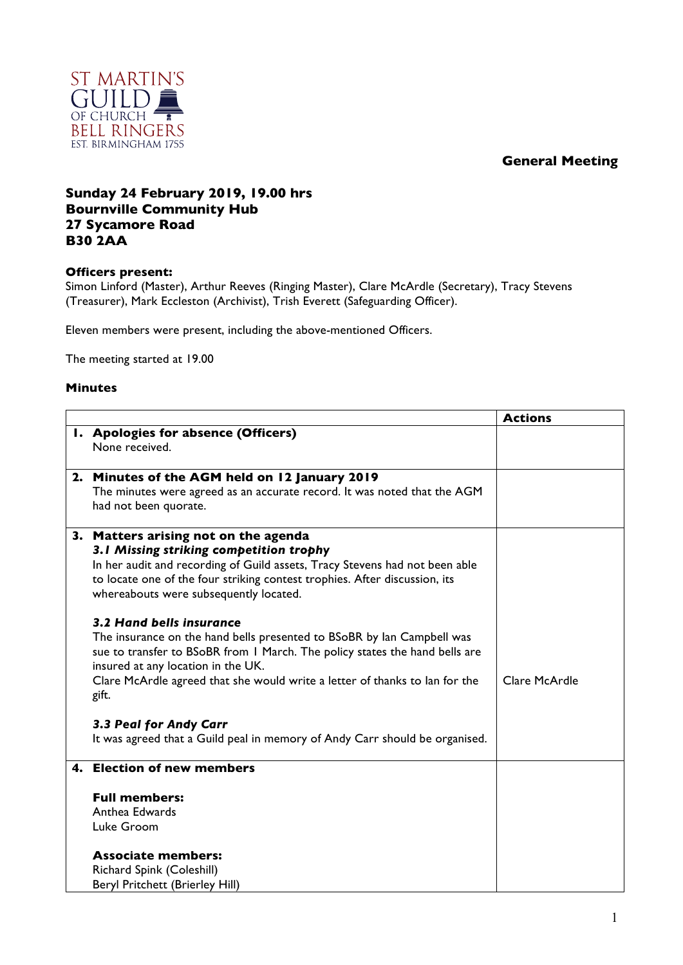## **General Meeting**



## **Sunday 24 February 2019, 19.00 hrs Bournville Community Hub 27 Sycamore Road B30 2AA**

## **Officers present:**

Simon Linford (Master), Arthur Reeves (Ringing Master), Clare McArdle (Secretary), Tracy Stevens (Treasurer), Mark Eccleston (Archivist), Trish Everett (Safeguarding Officer).

Eleven members were present, including the above-mentioned Officers.

The meeting started at 19.00

## **Minutes**

|  |                                                                                      | <b>Actions</b> |
|--|--------------------------------------------------------------------------------------|----------------|
|  | I. Apologies for absence (Officers)                                                  |                |
|  | None received.                                                                       |                |
|  | 2. Minutes of the AGM held on 12 January 2019                                        |                |
|  | The minutes were agreed as an accurate record. It was noted that the AGM             |                |
|  | had not been quorate.                                                                |                |
|  | 3. Matters arising not on the agenda                                                 |                |
|  | 3.1 Missing striking competition trophy                                              |                |
|  | In her audit and recording of Guild assets, Tracy Stevens had not been able          |                |
|  | to locate one of the four striking contest trophies. After discussion, its           |                |
|  | whereabouts were subsequently located.                                               |                |
|  | 3.2 Hand bells insurance                                                             |                |
|  | The insurance on the hand bells presented to BSoBR by lan Campbell was               |                |
|  | sue to transfer to BSoBR from 1 March. The policy states the hand bells are          |                |
|  | insured at any location in the UK.                                                   |                |
|  | Clare McArdle agreed that she would write a letter of thanks to lan for the<br>gift. | Clare McArdle  |
|  | 3.3 Peal for Andy Carr                                                               |                |
|  | It was agreed that a Guild peal in memory of Andy Carr should be organised.          |                |
|  |                                                                                      |                |
|  | 4. Election of new members                                                           |                |
|  | <b>Full members:</b>                                                                 |                |
|  | Anthea Edwards                                                                       |                |
|  | Luke Groom                                                                           |                |
|  | <b>Associate members:</b>                                                            |                |
|  | Richard Spink (Coleshill)                                                            |                |
|  | <b>Beryl Pritchett (Brierley Hill)</b>                                               |                |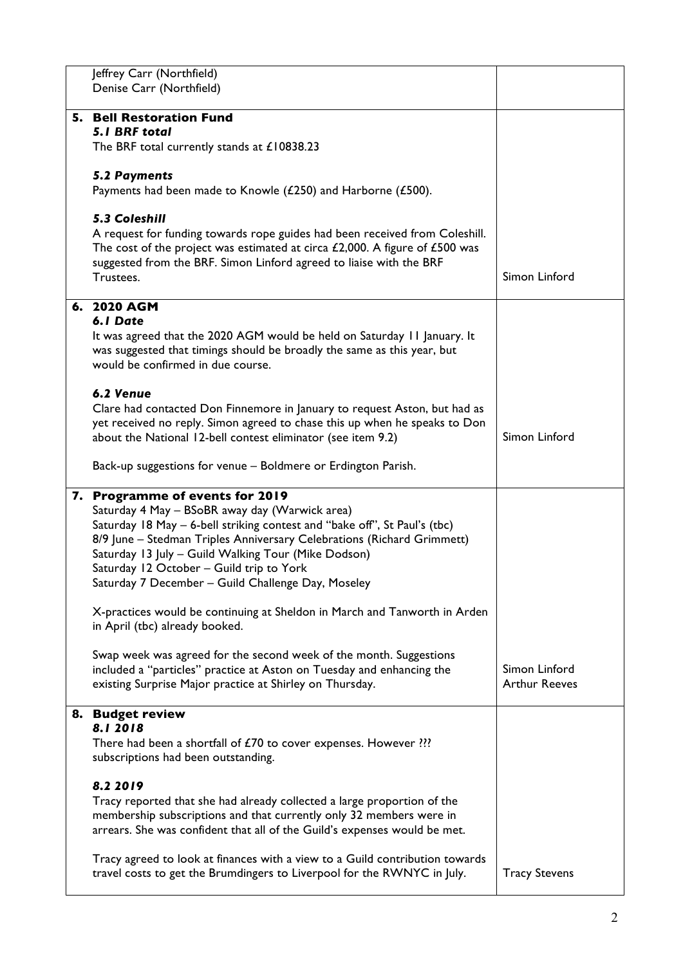| Jeffrey Carr (Northfield)                                                                                                                                       |                      |
|-----------------------------------------------------------------------------------------------------------------------------------------------------------------|----------------------|
| Denise Carr (Northfield)                                                                                                                                        |                      |
| 5. Bell Restoration Fund                                                                                                                                        |                      |
| 5.1 BRF total                                                                                                                                                   |                      |
| The BRF total currently stands at £10838.23                                                                                                                     |                      |
| <b>5.2 Payments</b>                                                                                                                                             |                      |
| Payments had been made to Knowle (£250) and Harborne (£500).                                                                                                    |                      |
|                                                                                                                                                                 |                      |
| 5.3 Coleshill                                                                                                                                                   |                      |
| A request for funding towards rope guides had been received from Coleshill.<br>The cost of the project was estimated at circa $£2,000$ . A figure of $£500$ was |                      |
| suggested from the BRF. Simon Linford agreed to liaise with the BRF                                                                                             |                      |
| Trustees.                                                                                                                                                       | Simon Linford        |
| 6. 2020 AGM                                                                                                                                                     |                      |
| 6.1 Date                                                                                                                                                        |                      |
| It was agreed that the 2020 AGM would be held on Saturday 11 January. It                                                                                        |                      |
| was suggested that timings should be broadly the same as this year, but<br>would be confirmed in due course.                                                    |                      |
|                                                                                                                                                                 |                      |
| 6.2 Venue                                                                                                                                                       |                      |
| Clare had contacted Don Finnemore in January to request Aston, but had as                                                                                       |                      |
| yet received no reply. Simon agreed to chase this up when he speaks to Don<br>about the National 12-bell contest eliminator (see item 9.2)                      | Simon Linford        |
|                                                                                                                                                                 |                      |
| Back-up suggestions for venue - Boldmere or Erdington Parish.                                                                                                   |                      |
| 7. Programme of events for 2019                                                                                                                                 |                      |
| Saturday 4 May - BSoBR away day (Warwick area)                                                                                                                  |                      |
| Saturday 18 May - 6-bell striking contest and "bake off", St Paul's (tbc)                                                                                       |                      |
| 8/9 June - Stedman Triples Anniversary Celebrations (Richard Grimmett)<br>Saturday 13 July - Guild Walking Tour (Mike Dodson)                                   |                      |
| Saturday 12 October - Guild trip to York                                                                                                                        |                      |
| Saturday 7 December – Guild Challenge Day, Moseley                                                                                                              |                      |
|                                                                                                                                                                 |                      |
|                                                                                                                                                                 |                      |
| X-practices would be continuing at Sheldon in March and Tanworth in Arden                                                                                       |                      |
| in April (tbc) already booked.                                                                                                                                  |                      |
| Swap week was agreed for the second week of the month. Suggestions                                                                                              |                      |
| included a "particles" practice at Aston on Tuesday and enhancing the                                                                                           | Simon Linford        |
| existing Surprise Major practice at Shirley on Thursday.                                                                                                        | <b>Arthur Reeves</b> |
| 8. Budget review                                                                                                                                                |                      |
| 8.12018                                                                                                                                                         |                      |
| There had been a shortfall of £70 to cover expenses. However ???<br>subscriptions had been outstanding.                                                         |                      |
|                                                                                                                                                                 |                      |
| 8.2 2019                                                                                                                                                        |                      |
| Tracy reported that she had already collected a large proportion of the                                                                                         |                      |
| membership subscriptions and that currently only 32 members were in<br>arrears. She was confident that all of the Guild's expenses would be met.                |                      |
|                                                                                                                                                                 |                      |
| Tracy agreed to look at finances with a view to a Guild contribution towards<br>travel costs to get the Brumdingers to Liverpool for the RWNYC in July.         | <b>Tracy Stevens</b> |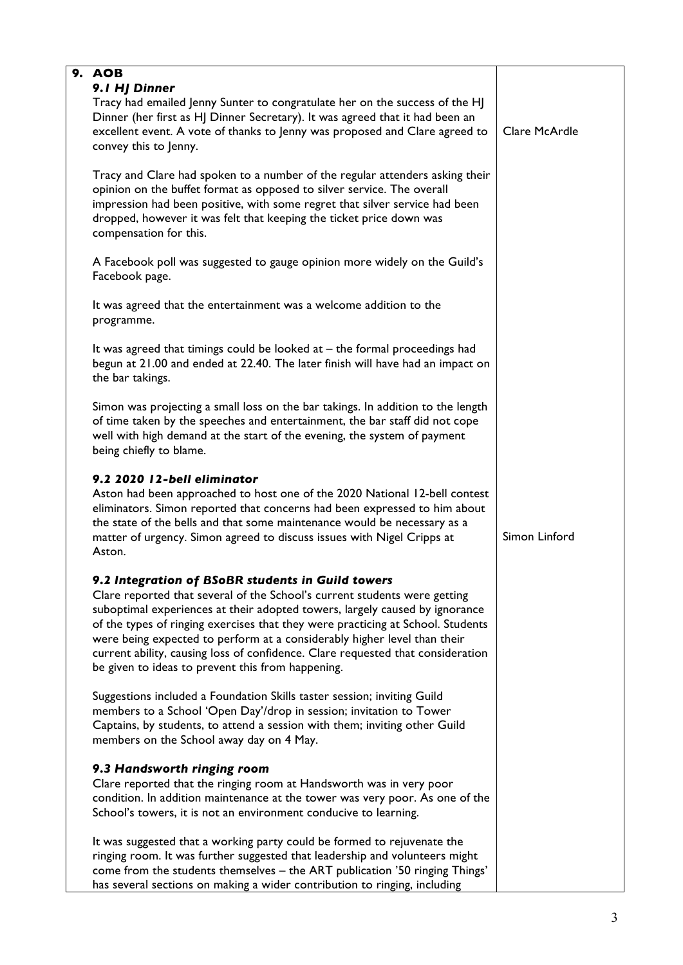| 9. AOB<br>9.1 HJ Dinner                                                                                                                                                                                                                                                                                                                                                                                                                                                                                              |               |
|----------------------------------------------------------------------------------------------------------------------------------------------------------------------------------------------------------------------------------------------------------------------------------------------------------------------------------------------------------------------------------------------------------------------------------------------------------------------------------------------------------------------|---------------|
| Tracy had emailed Jenny Sunter to congratulate her on the success of the HJ<br>Dinner (her first as HJ Dinner Secretary). It was agreed that it had been an<br>excellent event. A vote of thanks to Jenny was proposed and Clare agreed to<br>convey this to Jenny.                                                                                                                                                                                                                                                  | Clare McArdle |
| Tracy and Clare had spoken to a number of the regular attenders asking their<br>opinion on the buffet format as opposed to silver service. The overall<br>impression had been positive, with some regret that silver service had been<br>dropped, however it was felt that keeping the ticket price down was<br>compensation for this.                                                                                                                                                                               |               |
| A Facebook poll was suggested to gauge opinion more widely on the Guild's<br>Facebook page.                                                                                                                                                                                                                                                                                                                                                                                                                          |               |
| It was agreed that the entertainment was a welcome addition to the<br>programme.                                                                                                                                                                                                                                                                                                                                                                                                                                     |               |
| It was agreed that timings could be looked at $-$ the formal proceedings had<br>begun at 21.00 and ended at 22.40. The later finish will have had an impact on<br>the bar takings.                                                                                                                                                                                                                                                                                                                                   |               |
| Simon was projecting a small loss on the bar takings. In addition to the length<br>of time taken by the speeches and entertainment, the bar staff did not cope<br>well with high demand at the start of the evening, the system of payment<br>being chiefly to blame.                                                                                                                                                                                                                                                |               |
| 9.2 2020 12-bell eliminator<br>Aston had been approached to host one of the 2020 National 12-bell contest<br>eliminators. Simon reported that concerns had been expressed to him about<br>the state of the bells and that some maintenance would be necessary as a<br>matter of urgency. Simon agreed to discuss issues with Nigel Cripps at<br>Aston.                                                                                                                                                               | Simon Linford |
| 9.2 Integration of BSoBR students in Guild towers<br>Clare reported that several of the School's current students were getting<br>suboptimal experiences at their adopted towers, largely caused by ignorance<br>of the types of ringing exercises that they were practicing at School. Students<br>were being expected to perform at a considerably higher level than their<br>current ability, causing loss of confidence. Clare requested that consideration<br>be given to ideas to prevent this from happening. |               |
| Suggestions included a Foundation Skills taster session; inviting Guild<br>members to a School 'Open Day'/drop in session; invitation to Tower<br>Captains, by students, to attend a session with them; inviting other Guild<br>members on the School away day on 4 May.                                                                                                                                                                                                                                             |               |
| 9.3 Handsworth ringing room<br>Clare reported that the ringing room at Handsworth was in very poor<br>condition. In addition maintenance at the tower was very poor. As one of the<br>School's towers, it is not an environment conducive to learning.                                                                                                                                                                                                                                                               |               |
| It was suggested that a working party could be formed to rejuvenate the<br>ringing room. It was further suggested that leadership and volunteers might<br>come from the students themselves - the ART publication '50 ringing Things'<br>has several sections on making a wider contribution to ringing, including                                                                                                                                                                                                   |               |